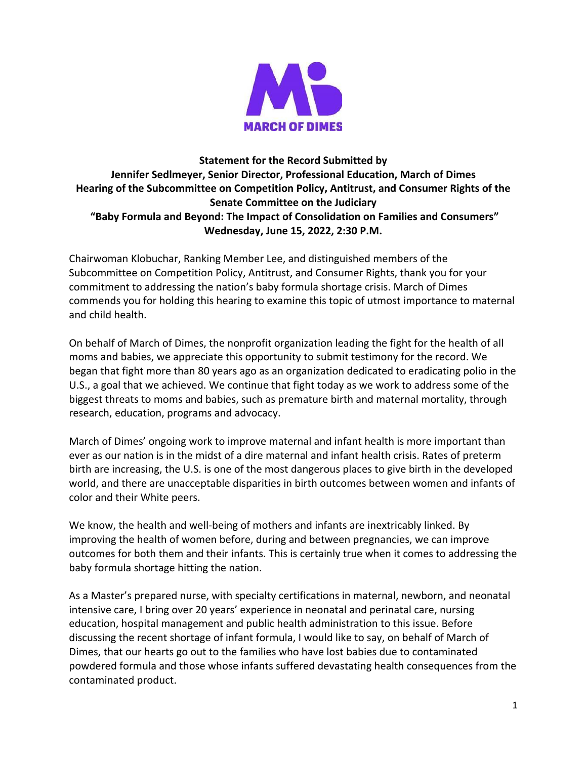

# **Statement for the Record Submitted by Jennifer Sedlmeyer, Senior Director, Professional Education, March of Dimes Hearing of the Subcommittee on Competition Policy, Antitrust, and Consumer Rights of the Senate Committee on the Judiciary "Baby Formula and Beyond: The Impact of Consolidation on Families and Consumers" Wednesday, June 15, 2022, 2:30 P.M.**

Chairwoman Klobuchar, Ranking Member Lee, and distinguished members of the Subcommittee on Competition Policy, Antitrust, and Consumer Rights, thank you for your commitment to addressing the nation's baby formula shortage crisis. March of Dimes commends you for holding this hearing to examine this topic of utmost importance to maternal and child health.

On behalf of March of Dimes, the nonprofit organization leading the fight for the health of all moms and babies, we appreciate this opportunity to submit testimony for the record. We began that fight more than 80 years ago as an organization dedicated to eradicating polio in the U.S., a goal that we achieved. We continue that fight today as we work to address some of the biggest threats to moms and babies, such as premature birth and maternal mortality, through research, education, programs and advocacy.

March of Dimes' ongoing work to improve maternal and infant health is more important than ever as our nation is in the midst of a dire maternal and infant health crisis. Rates of preterm birth are increasing, the U.S. is one of the most dangerous places to give birth in the developed world, and there are unacceptable disparities in birth outcomes between women and infants of color and their White peers.

We know, the health and well-being of mothers and infants are inextricably linked. By improving the health of women before, during and between pregnancies, we can improve outcomes for both them and their infants. This is certainly true when it comes to addressing the baby formula shortage hitting the nation.

As a Master's prepared nurse, with specialty certifications in maternal, newborn, and neonatal intensive care, I bring over 20 years' experience in neonatal and perinatal care, nursing education, hospital management and public health administration to this issue. Before discussing the recent shortage of infant formula, I would like to say, on behalf of March of Dimes, that our hearts go out to the families who have lost babies due to contaminated powdered formula and those whose infants suffered devastating health consequences from the contaminated product.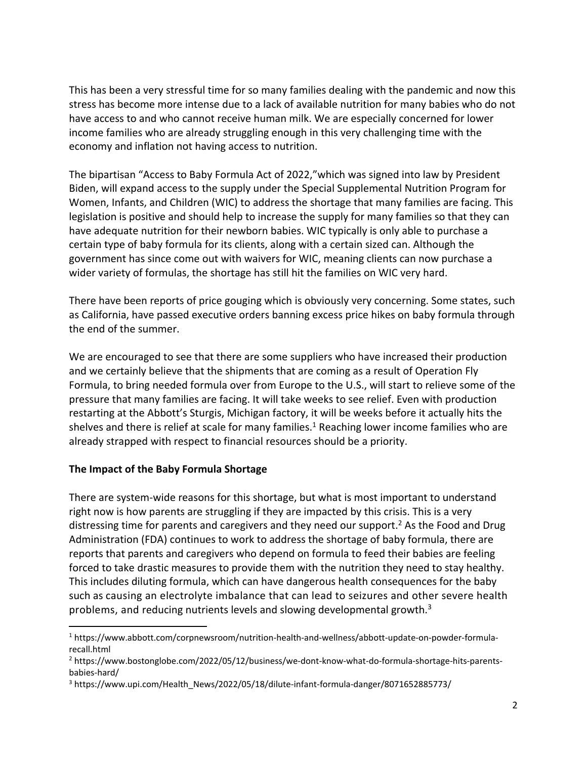This has been a very stressful time for so many families dealing with the pandemic and now this stress has become more intense due to a lack of available nutrition for many babies who do not have access to and who cannot receive human milk. We are especially concerned for lower income families who are already struggling enough in this very challenging time with the economy and inflation not having access to nutrition.

The bipartisan "Access to Baby Formula Act of 2022,"which was signed into law by President Biden, will expand access to the supply under the Special Supplemental Nutrition Program for Women, Infants, and Children (WIC) to address the shortage that many families are facing. This legislation is positive and should help to increase the supply for many families so that they can have adequate nutrition for their newborn babies. WIC typically is only able to purchase a certain type of baby formula for its clients, along with a certain sized can. Although the government has since come out with waivers for WIC, meaning clients can now purchase a wider variety of formulas, the shortage has still hit the families on WIC very hard.

There have been reports of price gouging which is obviously very concerning. Some states, such as California, have passed executive orders banning excess price hikes on baby formula through the end of the summer.

We are encouraged to see that there are some suppliers who have increased their production and we certainly believe that the shipments that are coming as a result of Operation Fly Formula, to bring needed formula over from Europe to the U.S., will start to relieve some of the pressure that many families are facing. It will take weeks to see relief. Even with production restarting at the Abbott's Sturgis, Michigan factory, it will be weeks before it actually hits the shelves and there is relief at scale for many families.<sup>1</sup> Reaching lower income families who are already strapped with respect to financial resources should be a priority.

### **The Impact of the Baby Formula Shortage**

 $\overline{\phantom{a}}$ 

There are system-wide reasons for this shortage, but what is most important to understand right now is how parents are struggling if they are impacted by this crisis. This is a very distressing time for parents and caregivers and they need our support.<sup>2</sup> As the Food and Drug Administration (FDA) continues to work to address the shortage of baby formula, there are reports that parents and caregivers who depend on formula to feed their babies are feeling forced to take drastic measures to provide them with the nutrition they need to stay healthy. This includes diluting formula, which can have dangerous health consequences for the baby such as causing an electrolyte imbalance that can lead to seizures and other severe health problems, and reducing nutrients levels and slowing developmental growth. $3$ 

<sup>1</sup> https://www.abbott.com/corpnewsroom/nutrition-health-and-wellness/abbott-update-on-powder-formularecall.html

<sup>2</sup> https://www.bostonglobe.com/2022/05/12/business/we-dont-know-what-do-formula-shortage-hits-parentsbabies-hard/

<sup>3</sup> https://www.upi.com/Health\_News/2022/05/18/dilute-infant-formula-danger/8071652885773/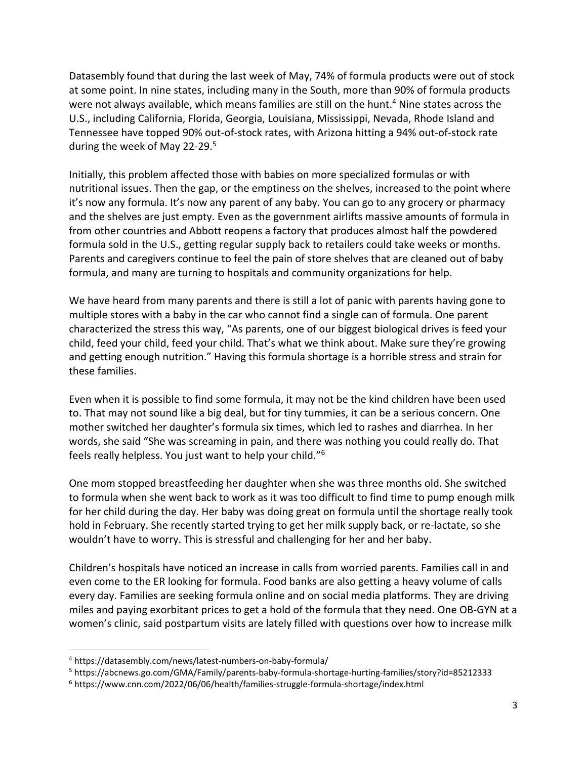Datasembly found that during the last week of May, 74% of formula products were out of stock at some point. In nine states, including many in the South, more than 90% of formula products were not always available, which means families are still on the hunt. <sup>4</sup> Nine states across the U.S., including California, Florida, Georgia, Louisiana, Mississippi, Nevada, Rhode Island and Tennessee have topped 90% out-of-stock rates, with Arizona hitting a 94% out-of-stock rate during the week of May 22-29.<sup>5</sup>

Initially, this problem affected those with babies on more specialized formulas or with nutritional issues. Then the gap, or the emptiness on the shelves, increased to the point where it's now any formula. It's now any parent of any baby. You can go to any grocery or pharmacy and the shelves are just empty. Even as the government airlifts massive amounts of formula in from other countries and Abbott reopens a factory that produces almost half the powdered formula sold in the U.S., getting regular supply back to retailers could take weeks or months. Parents and caregivers continue to feel the pain of store shelves that are cleaned out of baby formula, and many are turning to hospitals and community organizations for help.

We have heard from many parents and there is still a lot of panic with parents having gone to multiple stores with a baby in the car who cannot find a single can of formula. One parent characterized the stress this way, "As parents, one of our biggest biological drives is feed your child, feed your child, feed your child. That's what we think about. Make sure they're growing and getting enough nutrition." Having this formula shortage is a horrible stress and strain for these families.

Even when it is possible to find some formula, it may not be the kind children have been used to. That may not sound like a big deal, but for tiny tummies, it can be a serious concern. One mother switched her daughter's formula six times, which led to rashes and diarrhea. In her words, she said "She was screaming in pain, and there was nothing you could really do. That feels really helpless. You just want to help your child."<sup>6</sup>

One mom stopped breastfeeding her daughter when she was three months old. She switched to formula when she went back to work as it was too difficult to find time to pump enough milk for her child during the day. Her baby was doing great on formula until the shortage really took hold in February. She recently started trying to get her milk supply back, or re-lactate, so she wouldn't have to worry. This is stressful and challenging for her and her baby.

Children's hospitals have noticed an increase in calls from worried parents. Families call in and even come to the ER looking for formula. Food banks are also getting a heavy volume of calls every day. Families are seeking formula online and on social media platforms. They are driving miles and paying exorbitant prices to get a hold of the formula that they need. One OB-GYN at a women's clinic, said postpartum visits are lately filled with questions over how to increase milk

 $\overline{\phantom{a}}$ 

<sup>4</sup> https://datasembly.com/news/latest-numbers-on-baby-formula/

<sup>5</sup> https://abcnews.go.com/GMA/Family/parents-baby-formula-shortage-hurting-families/story?id=85212333

<sup>6</sup> https://www.cnn.com/2022/06/06/health/families-struggle-formula-shortage/index.html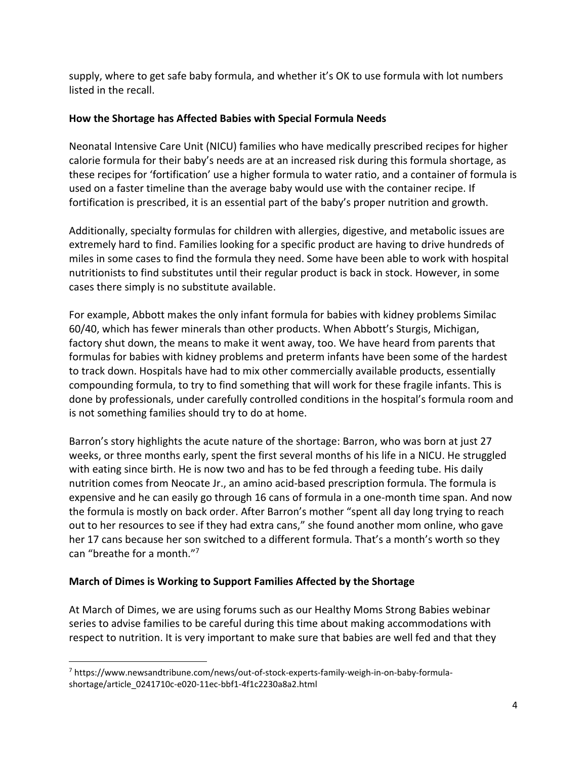supply, where to get safe baby formula, and whether it's OK to use formula with lot numbers listed in the recall.

### **How the Shortage has Affected Babies with Special Formula Needs**

Neonatal Intensive Care Unit (NICU) families who have medically prescribed recipes for higher calorie formula for their baby's needs are at an increased risk during this formula shortage, as these recipes for 'fortification' use a higher formula to water ratio, and a container of formula is used on a faster timeline than the average baby would use with the container recipe. If fortification is prescribed, it is an essential part of the baby's proper nutrition and growth.

Additionally, specialty formulas for children with allergies, digestive, and metabolic issues are extremely hard to find. Families looking for a specific product are having to drive hundreds of miles in some cases to find the formula they need. Some have been able to work with hospital nutritionists to find substitutes until their regular product is back in stock. However, in some cases there simply is no substitute available.

For example, Abbott makes the only infant formula for babies with kidney problems Similac 60/40, which has fewer minerals than other products. When Abbott's Sturgis, Michigan, factory shut down, the means to make it went away, too. We have heard from parents that formulas for babies with kidney problems and preterm infants have been some of the hardest to track down. Hospitals have had to mix other commercially available products, essentially compounding formula, to try to find something that will work for these fragile infants. This is done by professionals, under carefully controlled conditions in the hospital's formula room and is not something families should try to do at home.

Barron's story highlights the acute nature of the shortage: Barron, who was born at just 27 weeks, or three months early, spent the first several months of his life in a NICU. He struggled with eating since birth. He is now two and has to be fed through a feeding tube. His daily nutrition comes from Neocate Jr., an amino acid-based prescription formula. The formula is expensive and he can easily go through 16 cans of formula in a one-month time span. And now the formula is mostly on back order. After Barron's mother "spent all day long trying to reach out to her resources to see if they had extra cans," she found another mom online, who gave her 17 cans because her son switched to a different formula. That's a month's worth so they can "breathe for a month."<sup>7</sup>

# **March of Dimes is Working to Support Families Affected by the Shortage**

At March of Dimes, we are using forums such as our Healthy Moms Strong Babies webinar series to advise families to be careful during this time about making accommodations with respect to nutrition. It is very important to make sure that babies are well fed and that they

 $\overline{\phantom{a}}$ <sup>7</sup> https://www.newsandtribune.com/news/out-of-stock-experts-family-weigh-in-on-baby-formulashortage/article\_0241710c-e020-11ec-bbf1-4f1c2230a8a2.html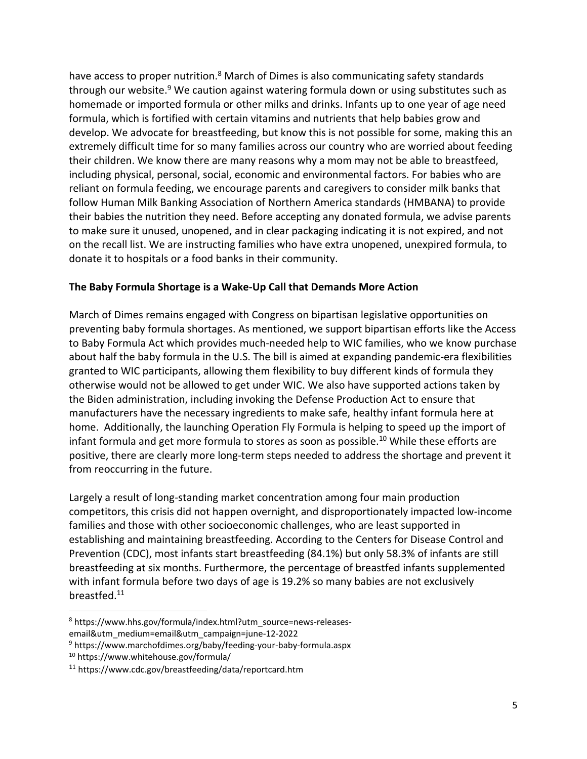have access to proper nutrition.<sup>8</sup> March of Dimes is also communicating safety standards through our website.<sup>9</sup> We caution against watering formula down or using substitutes such as homemade or imported formula or other milks and drinks. Infants up to one year of age need formula, which is fortified with certain vitamins and nutrients that help babies grow and develop. We advocate for breastfeeding, but know this is not possible for some, making this an extremely difficult time for so many families across our country who are worried about feeding their children. We know there are many reasons why a mom may not be able to breastfeed, including physical, personal, social, economic and environmental factors. For babies who are reliant on formula feeding, we encourage parents and caregivers to consider milk banks that follow Human Milk Banking Association of Northern America standards (HMBANA) to provide their babies the nutrition they need. Before accepting any donated formula, we advise parents to make sure it unused, unopened, and in clear packaging indicating it is not expired, and not on the recall list. We are instructing families who have extra unopened, unexpired formula, to donate it to hospitals or a food banks in their community.

#### **The Baby Formula Shortage is a Wake-Up Call that Demands More Action**

March of Dimes remains engaged with Congress on bipartisan legislative opportunities on preventing baby formula shortages. As mentioned, we support bipartisan efforts like the Access to Baby Formula Act which provides much-needed help to WIC families, who we know purchase about half the baby formula in the U.S. The bill is aimed at expanding pandemic-era flexibilities granted to WIC participants, allowing them flexibility to buy different kinds of formula they otherwise would not be allowed to get under WIC. We also have supported actions taken by the Biden administration, including invoking the Defense Production Act to ensure that manufacturers have the necessary ingredients to make safe, healthy infant formula here at home. Additionally, the launching Operation Fly Formula is helping to speed up the import of infant formula and get more formula to stores as soon as possible.<sup>10</sup> While these efforts are positive, there are clearly more long-term steps needed to address the shortage and prevent it from reoccurring in the future.

Largely a result of long-standing market concentration among four main production competitors, this crisis did not happen overnight, and disproportionately impacted low-income families and those with other socioeconomic challenges, who are least supported in establishing and maintaining breastfeeding. According to the Centers for Disease Control and Prevention (CDC), most infants start breastfeeding (84.1%) but only 58.3% of infants are still breastfeeding at six months. Furthermore, the percentage of breastfed infants supplemented with infant formula before two days of age is 19.2% so many babies are not exclusively breastfed.<sup>11</sup>

 $\overline{\phantom{a}}$ 

<sup>8</sup> https://www.hhs.gov/formula/index.html?utm\_source=news-releases-

email&utm\_medium=email&utm\_campaign=june-12-2022

<sup>9</sup> https://www.marchofdimes.org/baby/feeding-your-baby-formula.aspx

<sup>10</sup> https://www.whitehouse.gov/formula/

<sup>11</sup> https://www.cdc.gov/breastfeeding/data/reportcard.htm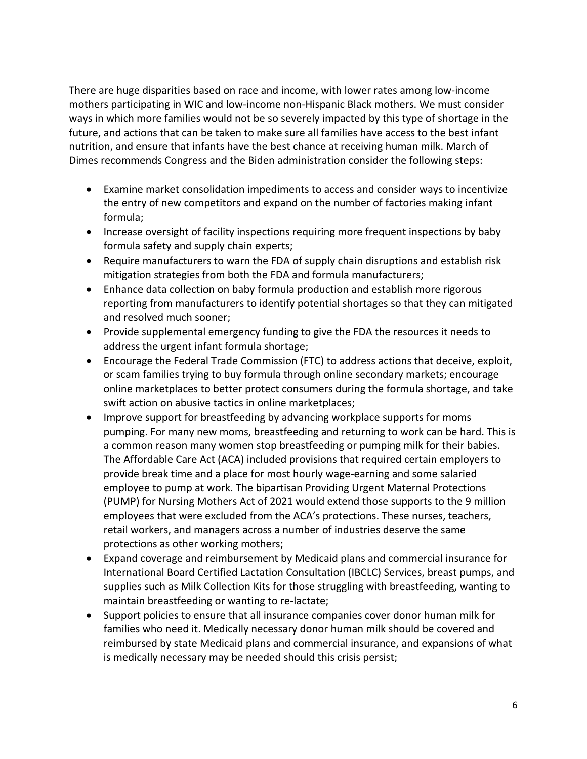There are huge disparities based on race and income, with lower rates among low-income mothers participating in WIC and low-income non-Hispanic Black mothers. We must consider ways in which more families would not be so severely impacted by this type of shortage in the future, and actions that can be taken to make sure all families have access to the best infant nutrition, and ensure that infants have the best chance at receiving human milk. March of Dimes recommends Congress and the Biden administration consider the following steps:

- Examine market consolidation impediments to access and consider ways to incentivize the entry of new competitors and expand on the number of factories making infant formula;
- Increase oversight of facility inspections requiring more frequent inspections by baby formula safety and supply chain experts;
- Require manufacturers to warn the FDA of supply chain disruptions and establish risk mitigation strategies from both the FDA and formula manufacturers;
- Enhance data collection on baby formula production and establish more rigorous reporting from manufacturers to identify potential shortages so that they can mitigated and resolved much sooner;
- Provide supplemental emergency funding to give the FDA the resources it needs to address the urgent infant formula shortage;
- Encourage the Federal Trade Commission (FTC) to address actions that deceive, exploit, or scam families trying to buy formula through online secondary markets; encourage online marketplaces to better protect consumers during the formula shortage, and take swift action on abusive tactics in online marketplaces;
- Improve support for breastfeeding by advancing workplace supports for moms pumping. For many new moms, breastfeeding and returning to work can be hard. This is a common reason many women stop breastfeeding or pumping milk for their babies. The Affordable Care Act (ACA) included provisions that required certain employers to provide break time and a place for most hourly wage-earning and some salaried employee to pump at work. The bipartisan Providing Urgent Maternal Protections (PUMP) for Nursing Mothers Act of 2021 would extend those supports to the 9 million employees that were excluded from the ACA's protections. These nurses, teachers, retail workers, and managers across a number of industries deserve the same protections as other working mothers;
- Expand coverage and reimbursement by Medicaid plans and commercial insurance for International Board Certified Lactation Consultation (IBCLC) Services, breast pumps, and supplies such as Milk Collection Kits for those struggling with breastfeeding, wanting to maintain breastfeeding or wanting to re-lactate;
- Support policies to ensure that all insurance companies cover donor human milk for families who need it. Medically necessary donor human milk should be covered and reimbursed by state Medicaid plans and commercial insurance, and expansions of what is medically necessary may be needed should this crisis persist;